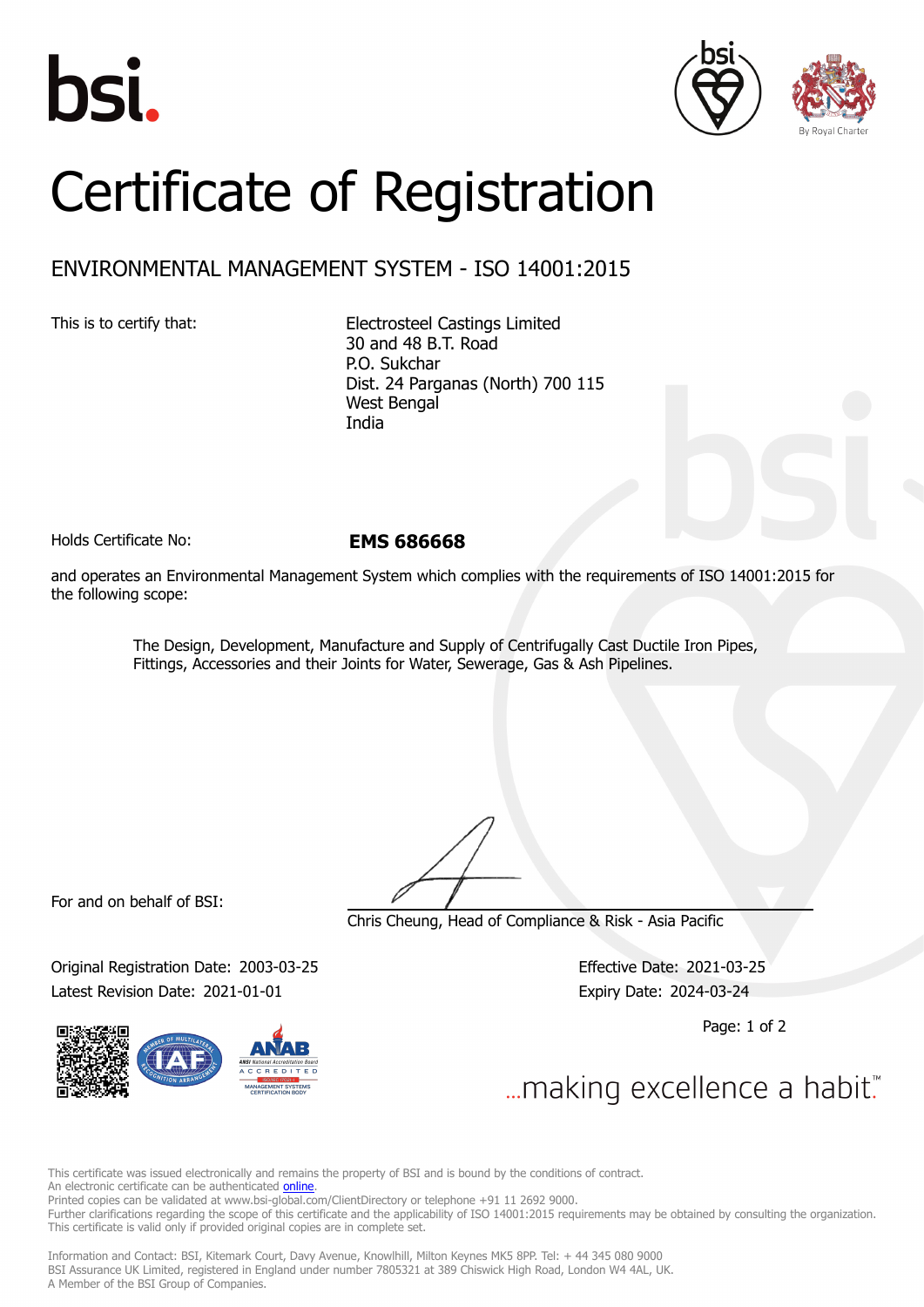





## Certificate of Registration

## ENVIRONMENTAL MANAGEMENT SYSTEM - ISO 14001:2015

This is to certify that: Electrosteel Castings Limited 30 and 48 B.T. Road P.O. Sukchar Dist. 24 Parganas (North) 700 115 West Bengal India

Holds Certificate No: **EMS 686668**

and operates an Environmental Management System which complies with the requirements of ISO 14001:2015 for the following scope:

> The Design, Development, Manufacture and Supply of Centrifugally Cast Ductile Iron Pipes, Fittings, Accessories and their Joints for Water, Sewerage, Gas & Ash Pipelines.

For and on behalf of BSI:

Chris Cheung, Head of Compliance & Risk - Asia Pacific

Original Registration Date: 2003-03-25 Effective Date: 2021-03-25 Latest Revision Date: 2021-01-01 Expiry Date: 2024-03-24

Page: 1 of 2

... making excellence a habit."

This certificate was issued electronically and remains the property of BSI and is bound by the conditions of contract. An electronic certificate can be authenticated **[online](https://pgplus.bsigroup.com/CertificateValidation/CertificateValidator.aspx?CertificateNumber=EMS+686668&ReIssueDate=01%2f01%2f2021&Template=india_en)** Printed copies can be validated at www.bsi-global.com/ClientDirectory or telephone +91 11 2692 9000. Further clarifications regarding the scope of this certificate and the applicability of ISO 14001:2015 requirements may be obtained by consulting the organization. This certificate is valid only if provided original copies are in complete set.

Information and Contact: BSI, Kitemark Court, Davy Avenue, Knowlhill, Milton Keynes MK5 8PP. Tel: + 44 345 080 9000 BSI Assurance UK Limited, registered in England under number 7805321 at 389 Chiswick High Road, London W4 4AL, UK. A Member of the BSI Group of Companies.